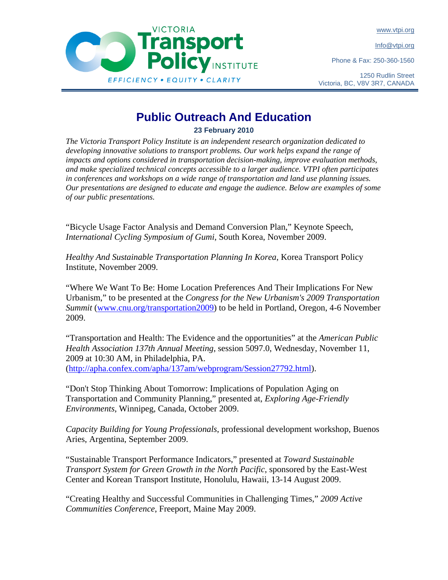www.vtpi.org

Info@vtpi.org

Phone & Fax: 250-360-1560



## ransport **Policy INSTITUTE** EFFICIENCY . EQUITY . CLARITY

## **Public Outreach And Education**

**23 February 2010** 

*The Victoria Transport Policy Institute is an independent research organization dedicated to developing innovative solutions to transport problems. Our work helps expand the range of impacts and options considered in transportation decision-making, improve evaluation methods, and make specialized technical concepts accessible to a larger audience. VTPI often participates in conferences and workshops on a wide range of transportation and land use planning issues. Our presentations are designed to educate and engage the audience. Below are examples of some of our public presentations.* 

"Bicycle Usage Factor Analysis and Demand Conversion Plan," Keynote Speech, *International Cycling Symposium of Gumi*, South Korea, November 2009.

*Healthy And Sustainable Transportation Planning In Korea*, Korea Transport Policy Institute, November 2009.

"Where We Want To Be: Home Location Preferences And Their Implications For New Urbanism," to be presented at the *Congress for the New Urbanism's 2009 Transportation Summit* (www.cnu.org/transportation2009) to be held in Portland, Oregon, 4-6 November 2009.

"Transportation and Health: The Evidence and the opportunities" at the *American Public Health Association 137th Annual Meeting*, session 5097.0, Wednesday, November 11, 2009 at 10:30 AM, in Philadelphia, PA. (http://apha.confex.com/apha/137am/webprogram/Session27792.html).

"Don't Stop Thinking About Tomorrow: Implications of Population Aging on Transportation and Community Planning," presented at, *Exploring Age-Friendly Environments*, Winnipeg, Canada, October 2009.

*Capacity Building for Young Professionals*, professional development workshop, Buenos Aries, Argentina, September 2009.

"Sustainable Transport Performance Indicators," presented at *Toward Sustainable Transport System for Green Growth in the North Pacific*, sponsored by the East-West Center and Korean Transport Institute, Honolulu, Hawaii, 13-14 August 2009.

"Creating Healthy and Successful Communities in Challenging Times," *2009 Active Communities Conference*, Freeport, Maine May 2009.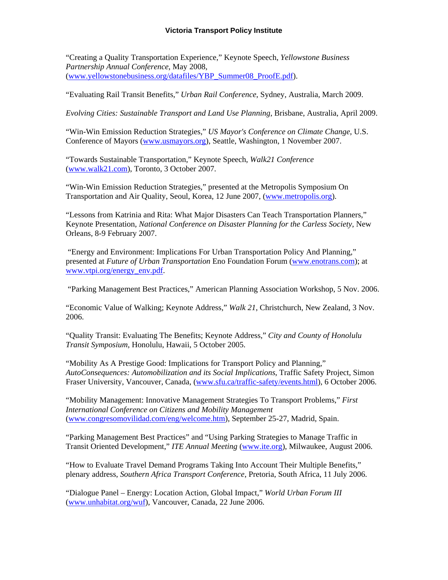## **Victoria Transport Policy Institute**

"Creating a Quality Transportation Experience," Keynote Speech, *Yellowstone Business Partnership Annual Conference*, May 2008, (www.yellowstonebusiness.org/datafiles/YBP\_Summer08\_ProofE.pdf).

"Evaluating Rail Transit Benefits," *Urban Rail Conference*, Sydney, Australia, March 2009.

*Evolving Cities: Sustainable Transport and Land Use Planning*, Brisbane, Australia, April 2009.

"Win-Win Emission Reduction Strategies," *US Mayor's Conference on Climate Change*, U.S. Conference of Mayors (www.usmayors.org), Seattle, Washington, 1 November 2007.

"Towards Sustainable Transportation," Keynote Speech, *Walk21 Conference* (www.walk21.com), Toronto, 3 October 2007.

"Win-Win Emission Reduction Strategies," presented at the Metropolis Symposium On Transportation and Air Quality, Seoul, Korea, 12 June 2007, (www.metropolis.org).

"Lessons from Katrinia and Rita: What Major Disasters Can Teach Transportation Planners," Keynote Presentation, *National Conference on Disaster Planning for the Carless Society*, New Orleans, 8-9 February 2007.

 "Energy and Environment: Implications For Urban Transportation Policy And Planning," presented at *Future of Urban Transportation* Eno Foundation Forum (www.enotrans.com); at www.vtpi.org/energy\_env.pdf.

"Parking Management Best Practices," American Planning Association Workshop, 5 Nov. 2006.

"Economic Value of Walking; Keynote Address," *Walk 21*, Christchurch, New Zealand, 3 Nov. 2006.

"Quality Transit: Evaluating The Benefits; Keynote Address," *City and County of Honolulu Transit Symposium*, Honolulu, Hawaii, 5 October 2005.

"Mobility As A Prestige Good: Implications for Transport Policy and Planning," *AutoConsequences: Automobilization and its Social Implications*, Traffic Safety Project, Simon Fraser University, Vancouver, Canada, (www.sfu.ca/traffic-safety/events.html), 6 October 2006.

"Mobility Management: Innovative Management Strategies To Transport Problems," *First International Conference on Citizens and Mobility Management* (www.congresomovilidad.com/eng/welcome.htm), September 25-27, Madrid, Spain.

"Parking Management Best Practices" and "Using Parking Strategies to Manage Traffic in Transit Oriented Development," *ITE Annual Meeting* (www.ite.org), Milwaukee, August 2006.

"How to Evaluate Travel Demand Programs Taking Into Account Their Multiple Benefits," plenary address, *Southern Africa Transport Conference*, Pretoria, South Africa, 11 July 2006.

"Dialogue Panel – Energy: Location Action, Global Impact," *World Urban Forum III* (www.unhabitat.org/wuf), Vancouver, Canada, 22 June 2006.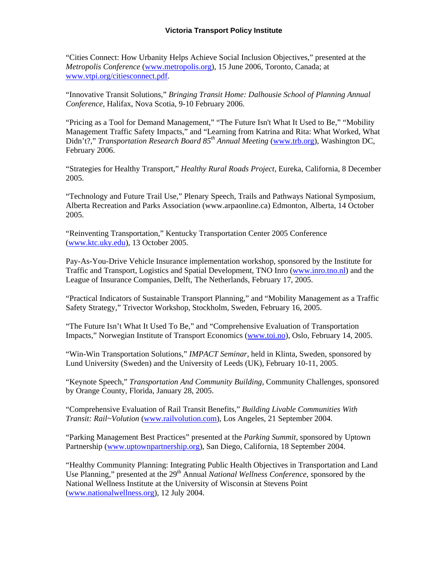"Cities Connect: How Urbanity Helps Achieve Social Inclusion Objectives," presented at the *Metropolis Conference* (www.metropolis.org), 15 June 2006, Toronto, Canada; at www.vtpi.org/citiesconnect.pdf.

"Innovative Transit Solutions," *Bringing Transit Home: Dalhousie School of Planning Annual Conference*, Halifax, Nova Scotia, 9-10 February 2006.

"Pricing as a Tool for Demand Management," "The Future Isn't What It Used to Be," "Mobility Management Traffic Safety Impacts," and "Learning from Katrina and Rita: What Worked, What Didn't?," *Transportation Research Board 85<sup>th</sup> Annual Meeting* (www.trb.org), Washington DC, February 2006.

"Strategies for Healthy Transport," *Healthy Rural Roads Project*, Eureka, California, 8 December 2005.

"Technology and Future Trail Use," Plenary Speech, Trails and Pathways National Symposium, Alberta Recreation and Parks Association (www.arpaonline.ca) Edmonton, Alberta, 14 October 2005.

"Reinventing Transportation," Kentucky Transportation Center 2005 Conference (www.ktc.uky.edu), 13 October 2005.

Pay-As-You-Drive Vehicle Insurance implementation workshop, sponsored by the Institute for Traffic and Transport, Logistics and Spatial Development, TNO Inro (www.inro.tno.nl) and the League of Insurance Companies, Delft, The Netherlands, February 17, 2005.

"Practical Indicators of Sustainable Transport Planning," and "Mobility Management as a Traffic Safety Strategy," Trivector Workshop, Stockholm, Sweden, February 16, 2005.

"The Future Isn't What It Used To Be," and "Comprehensive Evaluation of Transportation Impacts," Norwegian Institute of Transport Economics (www.toi.no), Oslo, February 14, 2005.

"Win-Win Transportation Solutions," *IMPACT Seminar*, held in Klinta, Sweden, sponsored by Lund University (Sweden) and the University of Leeds (UK), February 10-11, 2005.

"Keynote Speech," *Transportation And Community Building*, Community Challenges, sponsored by Orange County, Florida, January 28, 2005.

"Comprehensive Evaluation of Rail Transit Benefits," *Building Livable Communities With Transit: Rail~Volution* (www.railvolution.com), Los Angeles, 21 September 2004.

"Parking Management Best Practices" presented at the *Parking Summit*, sponsored by Uptown Partnership (www.uptownpartnership.org), San Diego, California, 18 September 2004.

"Healthy Community Planning: Integrating Public Health Objectives in Transportation and Land Use Planning," presented at the 29<sup>th</sup> Annual *National Wellness Conference*, sponsored by the National Wellness Institute at the University of Wisconsin at Stevens Point (www.nationalwellness.org), 12 July 2004.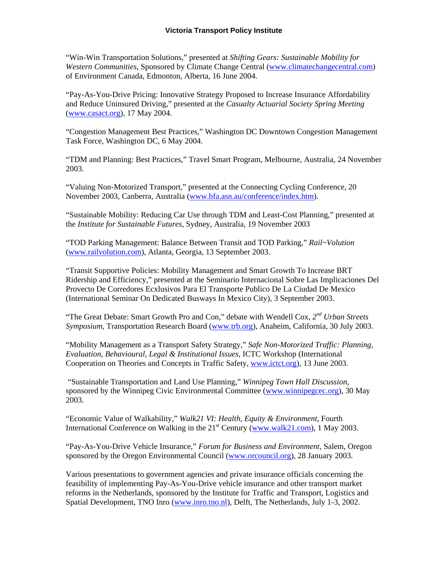"Win-Win Transportation Solutions," presented at *Shifting Gears: Sustainable Mobility for Western Communities*, Sponsored by Climate Change Central (www.climatechangecentral.com) of Environment Canada, Edmonton, Alberta, 16 June 2004.

"Pay-As-You-Drive Pricing: Innovative Strategy Proposed to Increase Insurance Affordability and Reduce Uninsured Driving," presented at the *Casualty Actuarial Society Spring Meeting* (www.casact.org), 17 May 2004.

"Congestion Management Best Practices," Washington DC Downtown Congestion Management Task Force, Washington DC, 6 May 2004.

"TDM and Planning: Best Practices," Travel Smart Program, Melbourne, Australia, 24 November 2003.

"Valuing Non-Motorized Transport," presented at the Connecting Cycling Conference, 20 November 2003, Canberra, Australia (www.bfa.asn.au/conference/index.htm).

"Sustainable Mobility: Reducing Car Use through TDM and Least-Cost Planning," presented at the *Institute for Sustainable Futures*, Sydney, Australia, 19 November 2003

"TOD Parking Management: Balance Between Transit and TOD Parking," *Rail~Volution* (www.railvolution.com), Atlanta, Georgia, 13 September 2003.

"Transit Supportive Policies: Mobility Management and Smart Growth To Increase BRT Ridership and Efficiency," presented at the Seminario Internacional Sobre Las Implicaciones Del Provecto De Corredores Ecxlusivos Para El Transporte Publico De La Ciudad De Mexico (International Seminar On Dedicated Busways In Mexico City), 3 September 2003.

"The Great Debate: Smart Growth Pro and Con," debate with Wendell Cox, *2nd Urban Streets Symposium*, Transportation Research Board (www.trb.org), Anaheim, California, 30 July 2003.

"Mobility Management as a Transport Safety Strategy," *Safe Non-Motorized Traffic: Planning, Evaluation, Behavioural, Legal & Institutional Issues*, ICTC Workshop (International Cooperation on Theories and Concepts in Traffic Safety, www.ictct.org), 13 June 2003.

 "Sustainable Transportation and Land Use Planning," *Winnipeg Town Hall Discussion*, sponsored by the Winnipeg Civic Environmental Committee (www.winnipegcec.org), 30 May 2003.

"Economic Value of Walkability," *Walk21 VI: Health, Equity & Environment*, Fourth International Conference on Walking in the  $21<sup>st</sup>$  Century (www.walk21.com), 1 May 2003.

"Pay-As-You-Drive Vehicle Insurance," *Forum for Business and Environment*, Salem, Oregon sponsored by the Oregon Environmental Council (www.orcouncil.org), 28 January 2003.

Various presentations to government agencies and private insurance officials concerning the feasibility of implementing Pay-As-You-Drive vehicle insurance and other transport market reforms in the Netherlands, sponsored by the Institute for Traffic and Transport, Logistics and Spatial Development, TNO Inro (www.inro.tno.nl), Delft, The Netherlands, July 1-3, 2002.